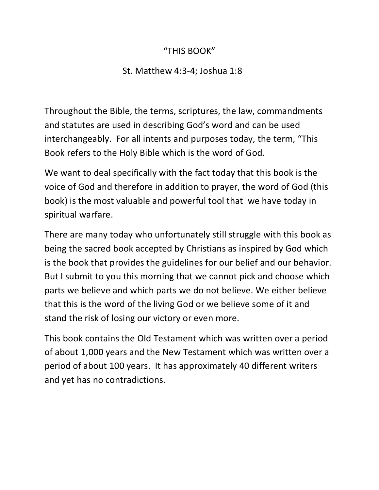### "THIS BOOK"

### St. Matthew 4:3-4; Joshua 1:8

Throughout the Bible, the terms, scriptures, the law, commandments and statutes are used in describing God's word and can be used interchangeably. For all intents and purposes today, the term, "This Book refers to the Holy Bible which is the word of God.

We want to deal specifically with the fact today that this book is the voice of God and therefore in addition to prayer, the word of God (this book) is the most valuable and powerful tool that we have today in spiritual warfare.

There are many today who unfortunately still struggle with this book as being the sacred book accepted by Christians as inspired by God which is the book that provides the guidelines for our belief and our behavior. But I submit to you this morning that we cannot pick and choose which parts we believe and which parts we do not believe. We either believe that this is the word of the living God or we believe some of it and stand the risk of losing our victory or even more.

This book contains the Old Testament which was written over a period of about 1,000 years and the New Testament which was written over a period of about 100 years. It has approximately 40 different writers and yet has no contradictions.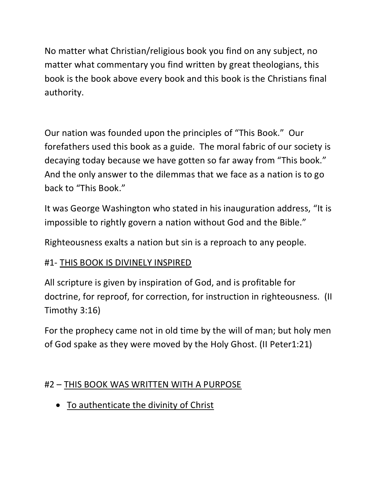No matter what Christian/religious book you find on any subject, no matter what commentary you find written by great theologians, this book is the book above every book and this book is the Christians final authority.

Our nation was founded upon the principles of "This Book." Our forefathers used this book as a guide. The moral fabric of our society is decaying today because we have gotten so far away from "This book." And the only answer to the dilemmas that we face as a nation is to go back to "This Book."

It was George Washington who stated in his inauguration address, "It is impossible to rightly govern a nation without God and the Bible."

Righteousness exalts a nation but sin is a reproach to any people.

# #1- THIS BOOK IS DIVINELY INSPIRED

All scripture is given by inspiration of God, and is profitable for doctrine, for reproof, for correction, for instruction in righteousness. (II Timothy 3:16)

For the prophecy came not in old time by the will of man; but holy men of God spake as they were moved by the Holy Ghost. (II Peter1:21)

# #2 – THIS BOOK WAS WRITTEN WITH A PURPOSE

To authenticate the divinity of Christ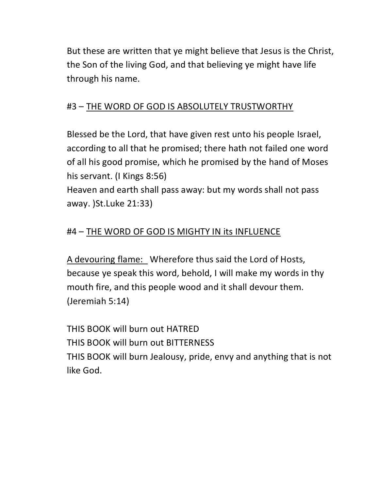But these are written that ye might believe that Jesus is the Christ, the Son of the living God, and that believing ye might have life through his name.

### #3 – THE WORD OF GOD IS ABSOLUTELY TRUSTWORTHY

Blessed be the Lord, that have given rest unto his people Israel, according to all that he promised; there hath not failed one word of all his good promise, which he promised by the hand of Moses his servant. (I Kings 8:56)

Heaven and earth shall pass away: but my words shall not pass away. )St.Luke 21:33)

# #4 – THE WORD OF GOD IS MIGHTY IN its INFLUENCE

A devouring flame: Wherefore thus said the Lord of Hosts, because ye speak this word, behold, I will make my words in thy mouth fire, and this people wood and it shall devour them. (Jeremiah 5:14)

THIS BOOK will burn out HATRED THIS BOOK will burn out BITTERNESS THIS BOOK will burn Jealousy, pride, envy and anything that is not like God.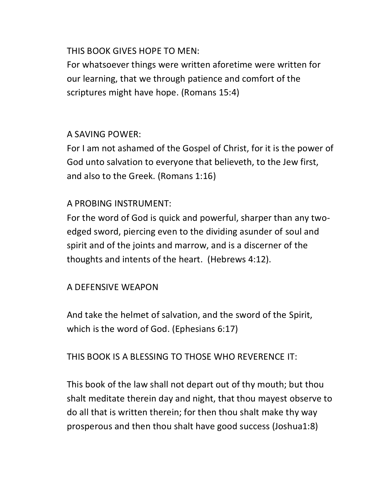#### THIS BOOK GIVES HOPE TO MEN:

For whatsoever things were written aforetime were written for our learning, that we through patience and comfort of the scriptures might have hope. (Romans 15:4)

### A SAVING POWER:

For I am not ashamed of the Gospel of Christ, for it is the power of God unto salvation to everyone that believeth, to the Jew first, and also to the Greek. (Romans 1:16)

#### A PROBING INSTRUMENT:

For the word of God is quick and powerful, sharper than any twoedged sword, piercing even to the dividing asunder of soul and spirit and of the joints and marrow, and is a discerner of the thoughts and intents of the heart. (Hebrews 4:12).

#### A DEFENSIVE WEAPON

And take the helmet of salvation, and the sword of the Spirit, which is the word of God. (Ephesians 6:17)

#### THIS BOOK IS A BLESSING TO THOSE WHO REVERENCE IT:

This book of the law shall not depart out of thy mouth; but thou shalt meditate therein day and night, that thou mayest observe to do all that is written therein; for then thou shalt make thy way prosperous and then thou shalt have good success (Joshua1:8)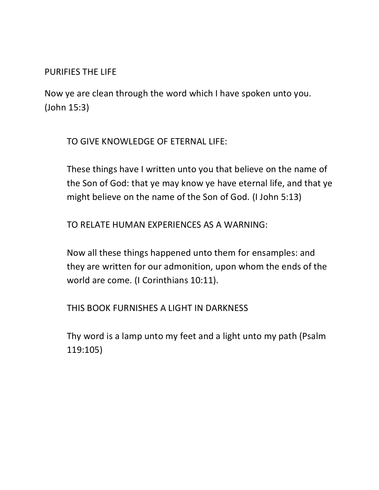PURIFIES THE LIFE

Now ye are clean through the word which I have spoken unto you. (John 15:3)

TO GIVE KNOWLEDGE OF ETERNAL LIFE:

These things have I written unto you that believe on the name of the Son of God: that ye may know ye have eternal life, and that ye might believe on the name of the Son of God. (I John 5:13)

TO RELATE HUMAN EXPERIENCES AS A WARNING:

Now all these things happened unto them for ensamples: and they are written for our admonition, upon whom the ends of the world are come. (I Corinthians 10:11).

THIS BOOK FURNISHES A LIGHT IN DARKNESS

Thy word is a lamp unto my feet and a light unto my path (Psalm 119:105)